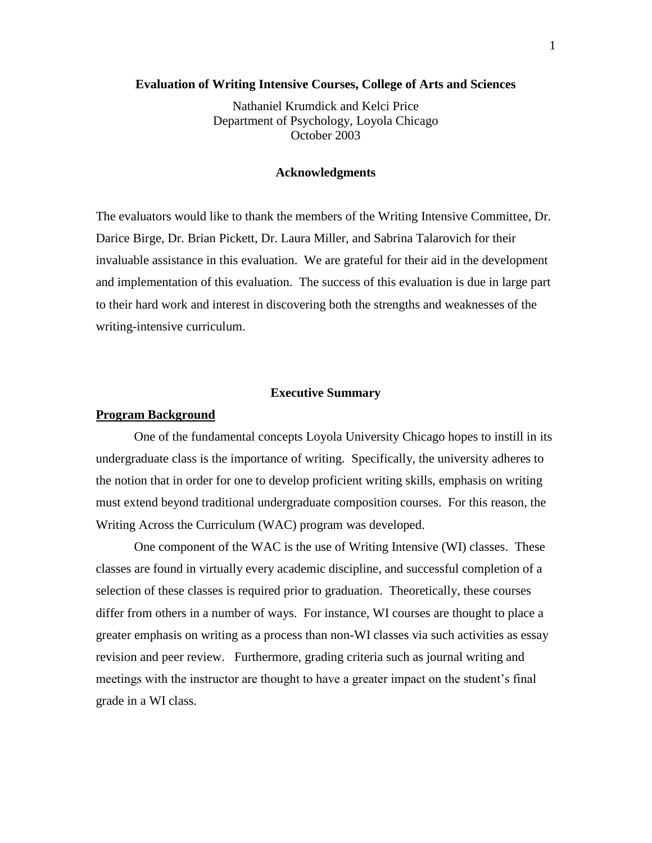#### **Evaluation of Writing Intensive Courses, College of Arts and Sciences**

Nathaniel Krumdick and Kelci Price Department of Psychology, Loyola Chicago October 2003

#### **Acknowledgments**

The evaluators would like to thank the members of the Writing Intensive Committee, Dr. Darice Birge, Dr. Brian Pickett, Dr. Laura Miller, and Sabrina Talarovich for their invaluable assistance in this evaluation. We are grateful for their aid in the development and implementation of this evaluation. The success of this evaluation is due in large part to their hard work and interest in discovering both the strengths and weaknesses of the writing-intensive curriculum.

#### **Executive Summary**

#### **Program Background**

One of the fundamental concepts Loyola University Chicago hopes to instill in its undergraduate class is the importance of writing. Specifically, the university adheres to the notion that in order for one to develop proficient writing skills, emphasis on writing must extend beyond traditional undergraduate composition courses. For this reason, the Writing Across the Curriculum (WAC) program was developed.

One component of the WAC is the use of Writing Intensive (WI) classes. These classes are found in virtually every academic discipline, and successful completion of a selection of these classes is required prior to graduation. Theoretically, these courses differ from others in a number of ways. For instance, WI courses are thought to place a greater emphasis on writing as a process than non-WI classes via such activities as essay revision and peer review. Furthermore, grading criteria such as journal writing and meetings with the instructor are thought to have a greater impact on the student's final grade in a WI class.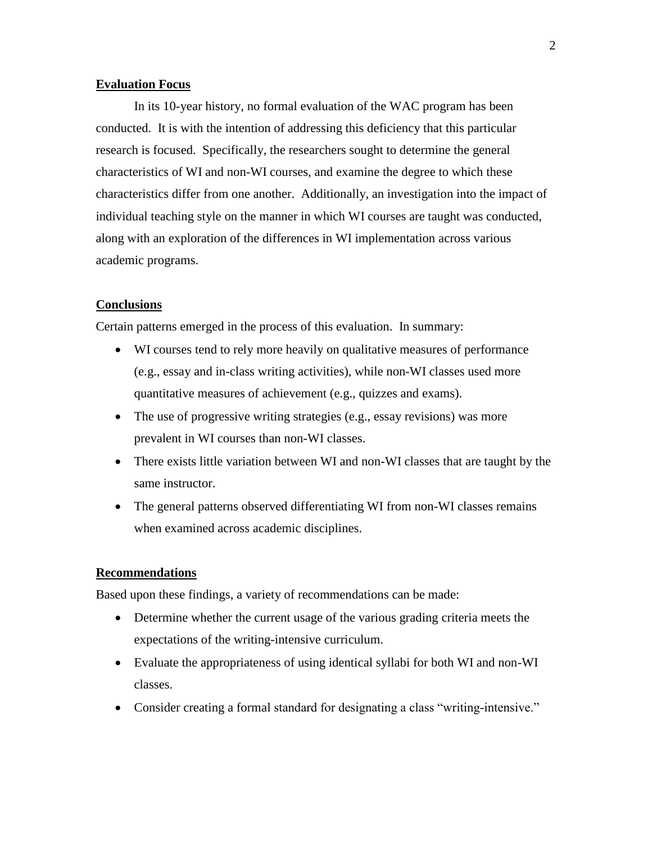### **Evaluation Focus**

In its 10-year history, no formal evaluation of the WAC program has been conducted. It is with the intention of addressing this deficiency that this particular research is focused. Specifically, the researchers sought to determine the general characteristics of WI and non-WI courses, and examine the degree to which these characteristics differ from one another. Additionally, an investigation into the impact of individual teaching style on the manner in which WI courses are taught was conducted, along with an exploration of the differences in WI implementation across various academic programs.

#### **Conclusions**

Certain patterns emerged in the process of this evaluation. In summary:

- WI courses tend to rely more heavily on qualitative measures of performance (e.g., essay and in-class writing activities), while non-WI classes used more quantitative measures of achievement (e.g., quizzes and exams).
- The use of progressive writing strategies (e.g., essay revisions) was more prevalent in WI courses than non-WI classes.
- There exists little variation between WI and non-WI classes that are taught by the same instructor.
- The general patterns observed differentiating WI from non-WI classes remains when examined across academic disciplines.

#### **Recommendations**

Based upon these findings, a variety of recommendations can be made:

- Determine whether the current usage of the various grading criteria meets the expectations of the writing-intensive curriculum.
- Evaluate the appropriateness of using identical syllabi for both WI and non-WI classes.
- Consider creating a formal standard for designating a class "writing-intensive."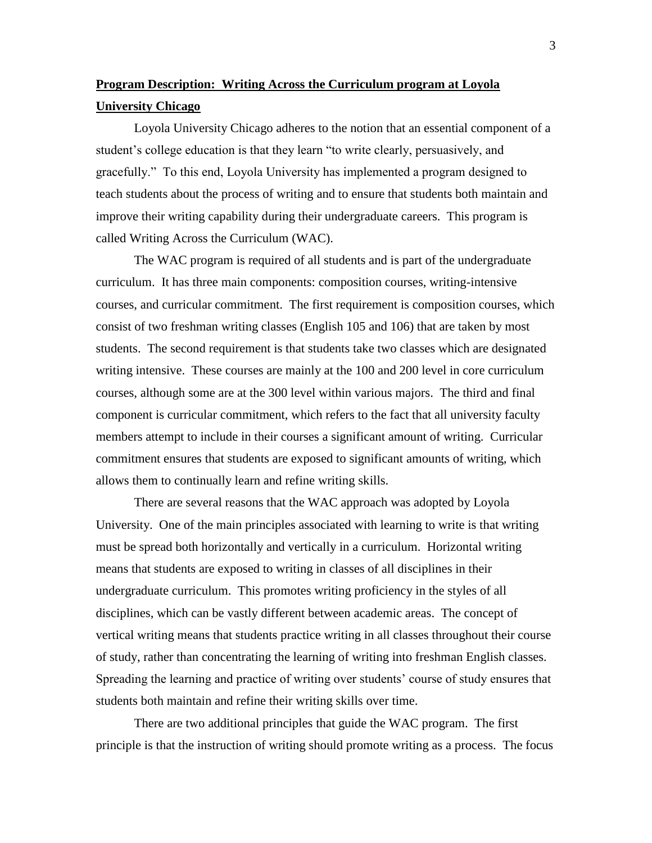# **Program Description: Writing Across the Curriculum program at Loyola University Chicago**

Loyola University Chicago adheres to the notion that an essential component of a student's college education is that they learn "to write clearly, persuasively, and gracefully." To this end, Loyola University has implemented a program designed to teach students about the process of writing and to ensure that students both maintain and improve their writing capability during their undergraduate careers. This program is called Writing Across the Curriculum (WAC).

The WAC program is required of all students and is part of the undergraduate curriculum. It has three main components: composition courses, writing-intensive courses, and curricular commitment. The first requirement is composition courses, which consist of two freshman writing classes (English 105 and 106) that are taken by most students. The second requirement is that students take two classes which are designated writing intensive. These courses are mainly at the 100 and 200 level in core curriculum courses, although some are at the 300 level within various majors. The third and final component is curricular commitment, which refers to the fact that all university faculty members attempt to include in their courses a significant amount of writing. Curricular commitment ensures that students are exposed to significant amounts of writing, which allows them to continually learn and refine writing skills.

There are several reasons that the WAC approach was adopted by Loyola University. One of the main principles associated with learning to write is that writing must be spread both horizontally and vertically in a curriculum. Horizontal writing means that students are exposed to writing in classes of all disciplines in their undergraduate curriculum. This promotes writing proficiency in the styles of all disciplines, which can be vastly different between academic areas. The concept of vertical writing means that students practice writing in all classes throughout their course of study, rather than concentrating the learning of writing into freshman English classes. Spreading the learning and practice of writing over students' course of study ensures that students both maintain and refine their writing skills over time.

There are two additional principles that guide the WAC program. The first principle is that the instruction of writing should promote writing as a process. The focus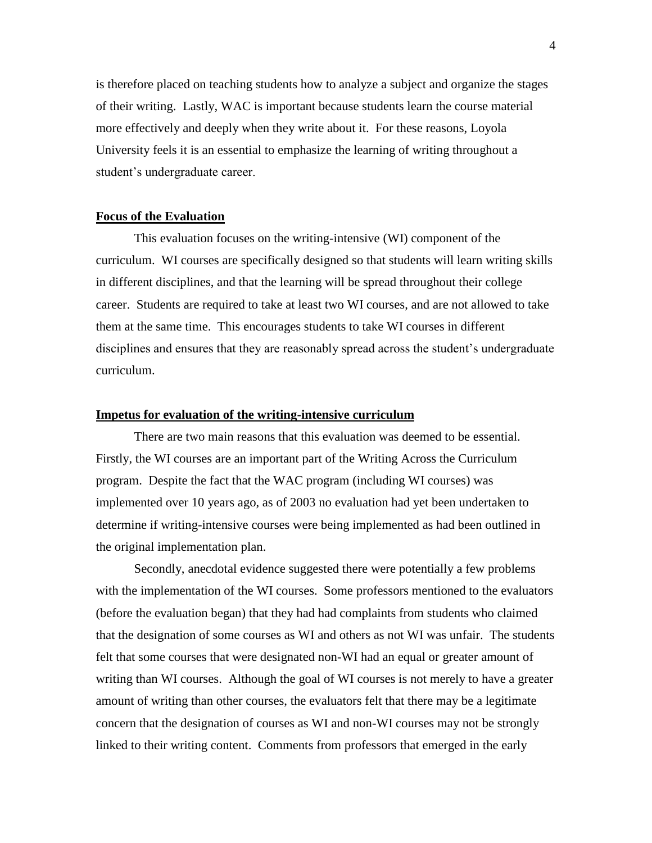is therefore placed on teaching students how to analyze a subject and organize the stages of their writing. Lastly, WAC is important because students learn the course material more effectively and deeply when they write about it. For these reasons, Loyola University feels it is an essential to emphasize the learning of writing throughout a student's undergraduate career.

#### **Focus of the Evaluation**

This evaluation focuses on the writing-intensive (WI) component of the curriculum. WI courses are specifically designed so that students will learn writing skills in different disciplines, and that the learning will be spread throughout their college career. Students are required to take at least two WI courses, and are not allowed to take them at the same time. This encourages students to take WI courses in different disciplines and ensures that they are reasonably spread across the student's undergraduate curriculum.

#### **Impetus for evaluation of the writing-intensive curriculum**

There are two main reasons that this evaluation was deemed to be essential. Firstly, the WI courses are an important part of the Writing Across the Curriculum program. Despite the fact that the WAC program (including WI courses) was implemented over 10 years ago, as of 2003 no evaluation had yet been undertaken to determine if writing-intensive courses were being implemented as had been outlined in the original implementation plan.

Secondly, anecdotal evidence suggested there were potentially a few problems with the implementation of the WI courses. Some professors mentioned to the evaluators (before the evaluation began) that they had had complaints from students who claimed that the designation of some courses as WI and others as not WI was unfair. The students felt that some courses that were designated non-WI had an equal or greater amount of writing than WI courses. Although the goal of WI courses is not merely to have a greater amount of writing than other courses, the evaluators felt that there may be a legitimate concern that the designation of courses as WI and non-WI courses may not be strongly linked to their writing content. Comments from professors that emerged in the early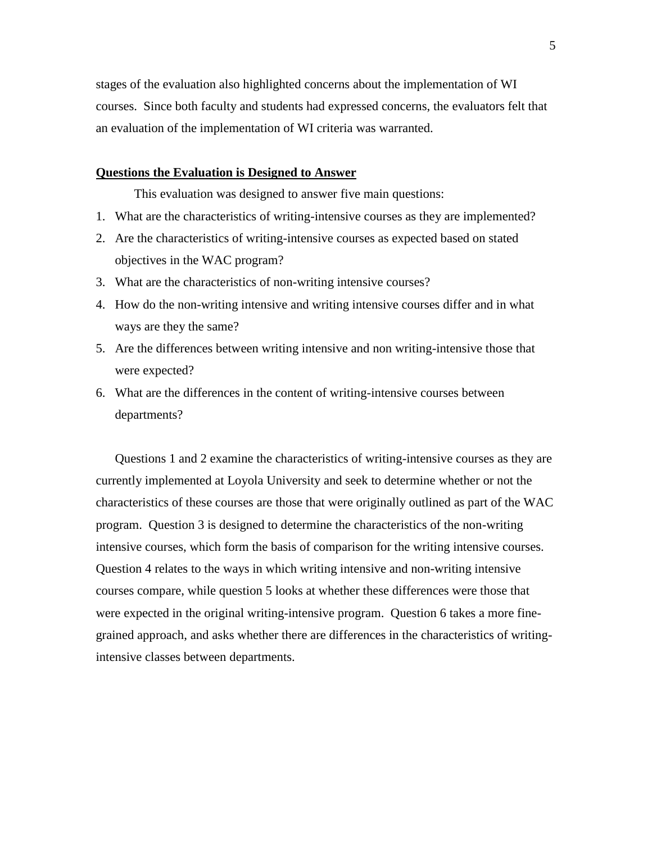stages of the evaluation also highlighted concerns about the implementation of WI courses. Since both faculty and students had expressed concerns, the evaluators felt that an evaluation of the implementation of WI criteria was warranted.

#### **Questions the Evaluation is Designed to Answer**

This evaluation was designed to answer five main questions:

- 1. What are the characteristics of writing-intensive courses as they are implemented?
- 2. Are the characteristics of writing-intensive courses as expected based on stated objectives in the WAC program?
- 3. What are the characteristics of non-writing intensive courses?
- 4. How do the non-writing intensive and writing intensive courses differ and in what ways are they the same?
- 5. Are the differences between writing intensive and non writing-intensive those that were expected?
- 6. What are the differences in the content of writing-intensive courses between departments?

Questions 1 and 2 examine the characteristics of writing-intensive courses as they are currently implemented at Loyola University and seek to determine whether or not the characteristics of these courses are those that were originally outlined as part of the WAC program. Question 3 is designed to determine the characteristics of the non-writing intensive courses, which form the basis of comparison for the writing intensive courses. Question 4 relates to the ways in which writing intensive and non-writing intensive courses compare, while question 5 looks at whether these differences were those that were expected in the original writing-intensive program. Question 6 takes a more finegrained approach, and asks whether there are differences in the characteristics of writingintensive classes between departments.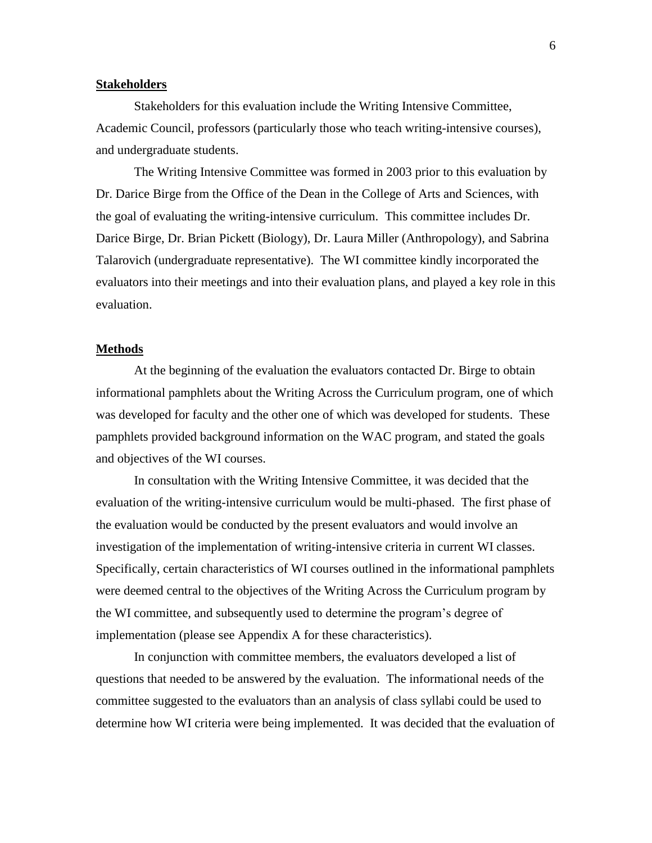#### **Stakeholders**

Stakeholders for this evaluation include the Writing Intensive Committee, Academic Council, professors (particularly those who teach writing-intensive courses), and undergraduate students.

The Writing Intensive Committee was formed in 2003 prior to this evaluation by Dr. Darice Birge from the Office of the Dean in the College of Arts and Sciences, with the goal of evaluating the writing-intensive curriculum. This committee includes Dr. Darice Birge, Dr. Brian Pickett (Biology), Dr. Laura Miller (Anthropology), and Sabrina Talarovich (undergraduate representative). The WI committee kindly incorporated the evaluators into their meetings and into their evaluation plans, and played a key role in this evaluation.

#### **Methods**

At the beginning of the evaluation the evaluators contacted Dr. Birge to obtain informational pamphlets about the Writing Across the Curriculum program, one of which was developed for faculty and the other one of which was developed for students. These pamphlets provided background information on the WAC program, and stated the goals and objectives of the WI courses.

In consultation with the Writing Intensive Committee, it was decided that the evaluation of the writing-intensive curriculum would be multi-phased. The first phase of the evaluation would be conducted by the present evaluators and would involve an investigation of the implementation of writing-intensive criteria in current WI classes. Specifically, certain characteristics of WI courses outlined in the informational pamphlets were deemed central to the objectives of the Writing Across the Curriculum program by the WI committee, and subsequently used to determine the program's degree of implementation (please see Appendix A for these characteristics).

In conjunction with committee members, the evaluators developed a list of questions that needed to be answered by the evaluation. The informational needs of the committee suggested to the evaluators than an analysis of class syllabi could be used to determine how WI criteria were being implemented. It was decided that the evaluation of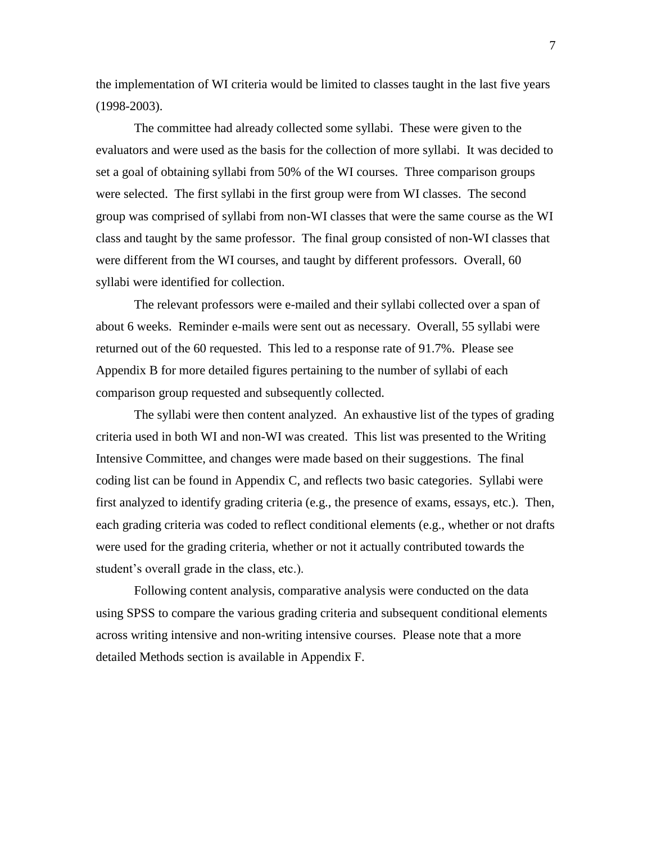the implementation of WI criteria would be limited to classes taught in the last five years (1998-2003).

The committee had already collected some syllabi. These were given to the evaluators and were used as the basis for the collection of more syllabi. It was decided to set a goal of obtaining syllabi from 50% of the WI courses. Three comparison groups were selected. The first syllabi in the first group were from WI classes. The second group was comprised of syllabi from non-WI classes that were the same course as the WI class and taught by the same professor. The final group consisted of non-WI classes that were different from the WI courses, and taught by different professors. Overall, 60 syllabi were identified for collection.

The relevant professors were e-mailed and their syllabi collected over a span of about 6 weeks. Reminder e-mails were sent out as necessary. Overall, 55 syllabi were returned out of the 60 requested. This led to a response rate of 91.7%. Please see Appendix B for more detailed figures pertaining to the number of syllabi of each comparison group requested and subsequently collected.

The syllabi were then content analyzed. An exhaustive list of the types of grading criteria used in both WI and non-WI was created. This list was presented to the Writing Intensive Committee, and changes were made based on their suggestions. The final coding list can be found in Appendix C, and reflects two basic categories. Syllabi were first analyzed to identify grading criteria (e.g., the presence of exams, essays, etc.). Then, each grading criteria was coded to reflect conditional elements (e.g., whether or not drafts were used for the grading criteria, whether or not it actually contributed towards the student's overall grade in the class, etc.).

Following content analysis, comparative analysis were conducted on the data using SPSS to compare the various grading criteria and subsequent conditional elements across writing intensive and non-writing intensive courses. Please note that a more detailed Methods section is available in Appendix F.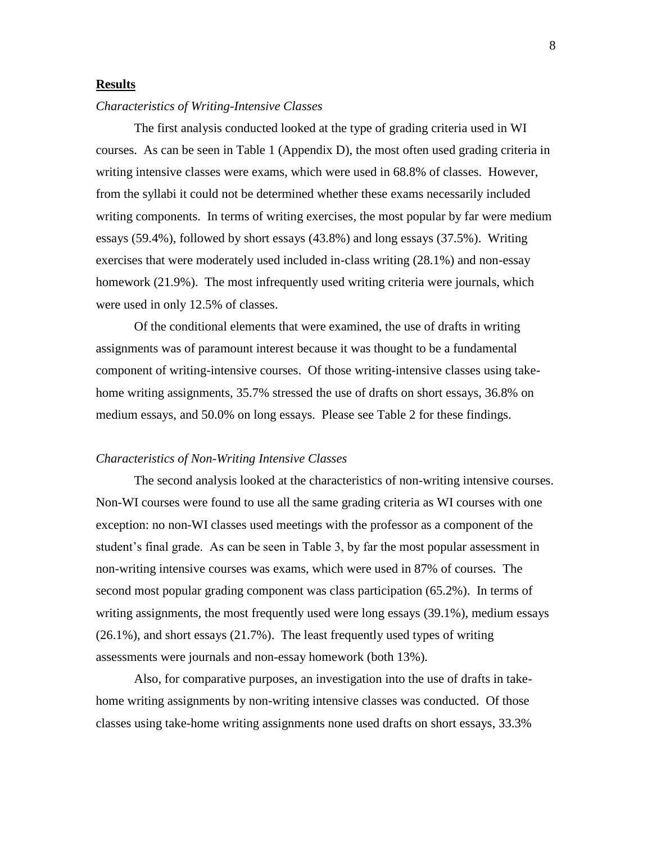#### **Results**

#### *Characteristics of Writing-Intensive Classes*

The first analysis conducted looked at the type of grading criteria used in WI courses. As can be seen in Table 1 (Appendix D), the most often used grading criteria in writing intensive classes were exams, which were used in 68.8% of classes. However, from the syllabi it could not be determined whether these exams necessarily included writing components. In terms of writing exercises, the most popular by far were medium essays (59.4%), followed by short essays (43.8%) and long essays (37.5%). Writing exercises that were moderately used included in-class writing (28.1%) and non-essay homework (21.9%). The most infrequently used writing criteria were journals, which were used in only 12.5% of classes.

Of the conditional elements that were examined, the use of drafts in writing assignments was of paramount interest because it was thought to be a fundamental component of writing-intensive courses. Of those writing-intensive classes using takehome writing assignments, 35.7% stressed the use of drafts on short essays, 36.8% on medium essays, and 50.0% on long essays. Please see Table 2 for these findings.

#### *Characteristics of Non-Writing Intensive Classes*

The second analysis looked at the characteristics of non-writing intensive courses. Non-WI courses were found to use all the same grading criteria as WI courses with one exception: no non-WI classes used meetings with the professor as a component of the student's final grade. As can be seen in Table 3, by far the most popular assessment in non-writing intensive courses was exams, which were used in 87% of courses. The second most popular grading component was class participation (65.2%). In terms of writing assignments, the most frequently used were long essays (39.1%), medium essays (26.1%), and short essays (21.7%). The least frequently used types of writing assessments were journals and non-essay homework (both 13%).

Also, for comparative purposes, an investigation into the use of drafts in takehome writing assignments by non-writing intensive classes was conducted. Of those classes using take-home writing assignments none used drafts on short essays, 33.3%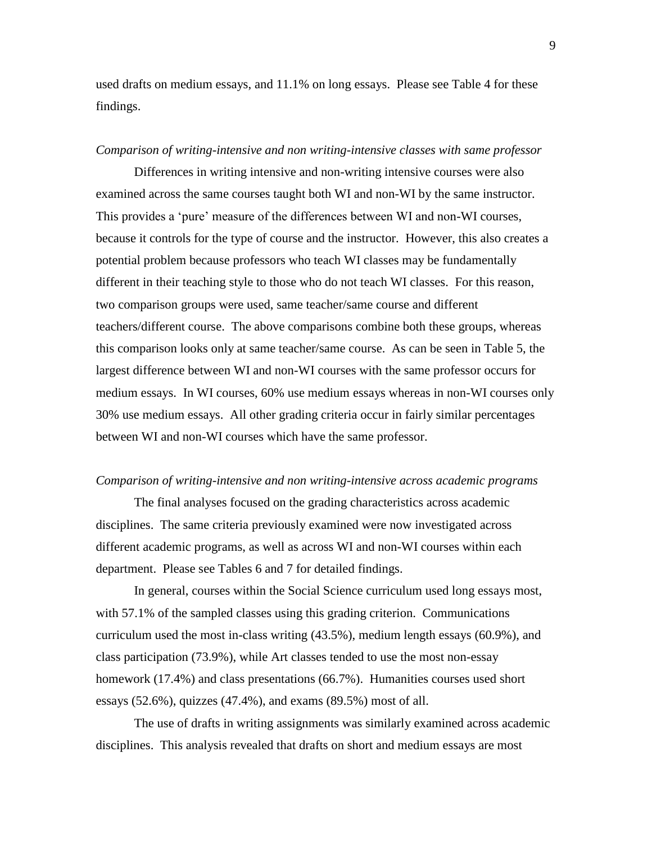used drafts on medium essays, and 11.1% on long essays. Please see Table 4 for these findings.

#### *Comparison of writing-intensive and non writing-intensive classes with same professor*

Differences in writing intensive and non-writing intensive courses were also examined across the same courses taught both WI and non-WI by the same instructor. This provides a 'pure' measure of the differences between WI and non-WI courses, because it controls for the type of course and the instructor. However, this also creates a potential problem because professors who teach WI classes may be fundamentally different in their teaching style to those who do not teach WI classes. For this reason, two comparison groups were used, same teacher/same course and different teachers/different course. The above comparisons combine both these groups, whereas this comparison looks only at same teacher/same course. As can be seen in Table 5, the largest difference between WI and non-WI courses with the same professor occurs for medium essays. In WI courses, 60% use medium essays whereas in non-WI courses only 30% use medium essays. All other grading criteria occur in fairly similar percentages between WI and non-WI courses which have the same professor.

### *Comparison of writing-intensive and non writing-intensive across academic programs*

The final analyses focused on the grading characteristics across academic disciplines. The same criteria previously examined were now investigated across different academic programs, as well as across WI and non-WI courses within each department. Please see Tables 6 and 7 for detailed findings.

In general, courses within the Social Science curriculum used long essays most, with 57.1% of the sampled classes using this grading criterion. Communications curriculum used the most in-class writing (43.5%), medium length essays (60.9%), and class participation (73.9%), while Art classes tended to use the most non-essay homework (17.4%) and class presentations (66.7%). Humanities courses used short essays (52.6%), quizzes (47.4%), and exams (89.5%) most of all.

The use of drafts in writing assignments was similarly examined across academic disciplines. This analysis revealed that drafts on short and medium essays are most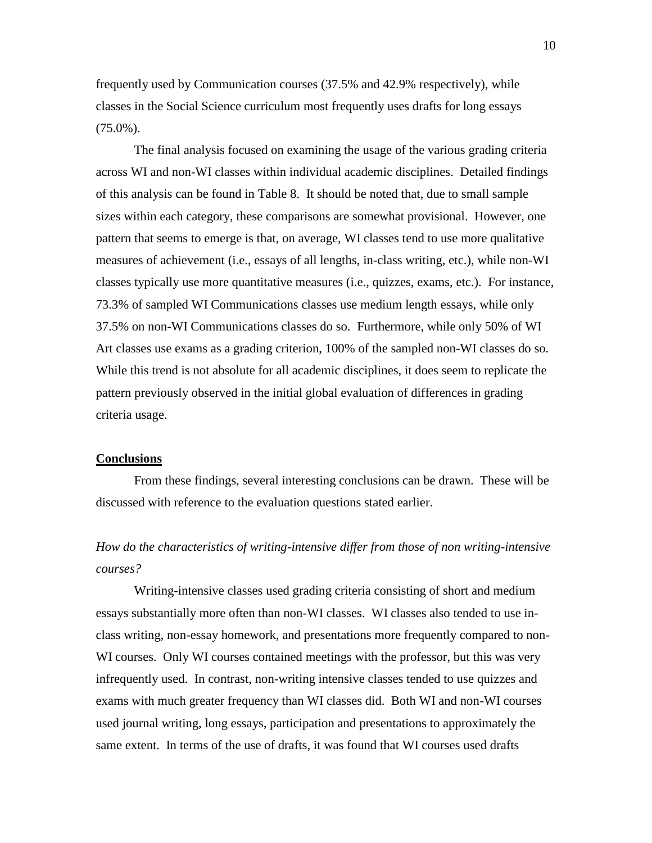frequently used by Communication courses (37.5% and 42.9% respectively), while classes in the Social Science curriculum most frequently uses drafts for long essays  $(75.0\%)$ .

The final analysis focused on examining the usage of the various grading criteria across WI and non-WI classes within individual academic disciplines. Detailed findings of this analysis can be found in Table 8. It should be noted that, due to small sample sizes within each category, these comparisons are somewhat provisional. However, one pattern that seems to emerge is that, on average, WI classes tend to use more qualitative measures of achievement (i.e., essays of all lengths, in-class writing, etc.), while non-WI classes typically use more quantitative measures (i.e., quizzes, exams, etc.). For instance, 73.3% of sampled WI Communications classes use medium length essays, while only 37.5% on non-WI Communications classes do so. Furthermore, while only 50% of WI Art classes use exams as a grading criterion, 100% of the sampled non-WI classes do so. While this trend is not absolute for all academic disciplines, it does seem to replicate the pattern previously observed in the initial global evaluation of differences in grading criteria usage.

#### **Conclusions**

From these findings, several interesting conclusions can be drawn. These will be discussed with reference to the evaluation questions stated earlier.

# *How do the characteristics of writing-intensive differ from those of non writing-intensive courses?*

Writing-intensive classes used grading criteria consisting of short and medium essays substantially more often than non-WI classes. WI classes also tended to use inclass writing, non-essay homework, and presentations more frequently compared to non-WI courses. Only WI courses contained meetings with the professor, but this was very infrequently used. In contrast, non-writing intensive classes tended to use quizzes and exams with much greater frequency than WI classes did. Both WI and non-WI courses used journal writing, long essays, participation and presentations to approximately the same extent. In terms of the use of drafts, it was found that WI courses used drafts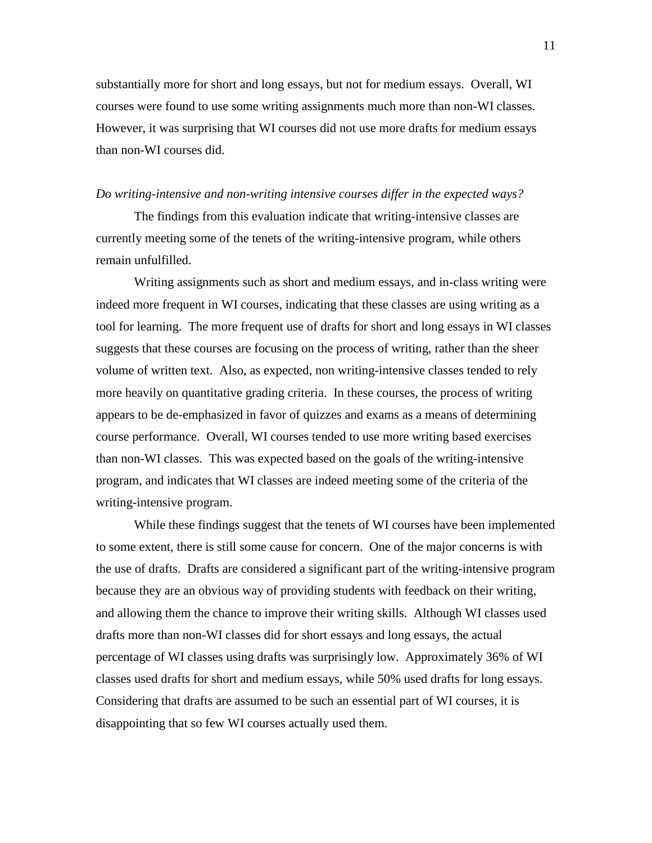substantially more for short and long essays, but not for medium essays. Overall, WI courses were found to use some writing assignments much more than non-WI classes. However, it was surprising that WI courses did not use more drafts for medium essays than non-WI courses did.

#### *Do writing-intensive and non-writing intensive courses differ in the expected ways?*

The findings from this evaluation indicate that writing-intensive classes are currently meeting some of the tenets of the writing-intensive program, while others remain unfulfilled.

Writing assignments such as short and medium essays, and in-class writing were indeed more frequent in WI courses, indicating that these classes are using writing as a tool for learning. The more frequent use of drafts for short and long essays in WI classes suggests that these courses are focusing on the process of writing, rather than the sheer volume of written text. Also, as expected, non writing-intensive classes tended to rely more heavily on quantitative grading criteria. In these courses, the process of writing appears to be de-emphasized in favor of quizzes and exams as a means of determining course performance. Overall, WI courses tended to use more writing based exercises than non-WI classes. This was expected based on the goals of the writing-intensive program, and indicates that WI classes are indeed meeting some of the criteria of the writing-intensive program.

While these findings suggest that the tenets of WI courses have been implemented to some extent, there is still some cause for concern. One of the major concerns is with the use of drafts. Drafts are considered a significant part of the writing-intensive program because they are an obvious way of providing students with feedback on their writing, and allowing them the chance to improve their writing skills. Although WI classes used drafts more than non-WI classes did for short essays and long essays, the actual percentage of WI classes using drafts was surprisingly low. Approximately 36% of WI classes used drafts for short and medium essays, while 50% used drafts for long essays. Considering that drafts are assumed to be such an essential part of WI courses, it is disappointing that so few WI courses actually used them.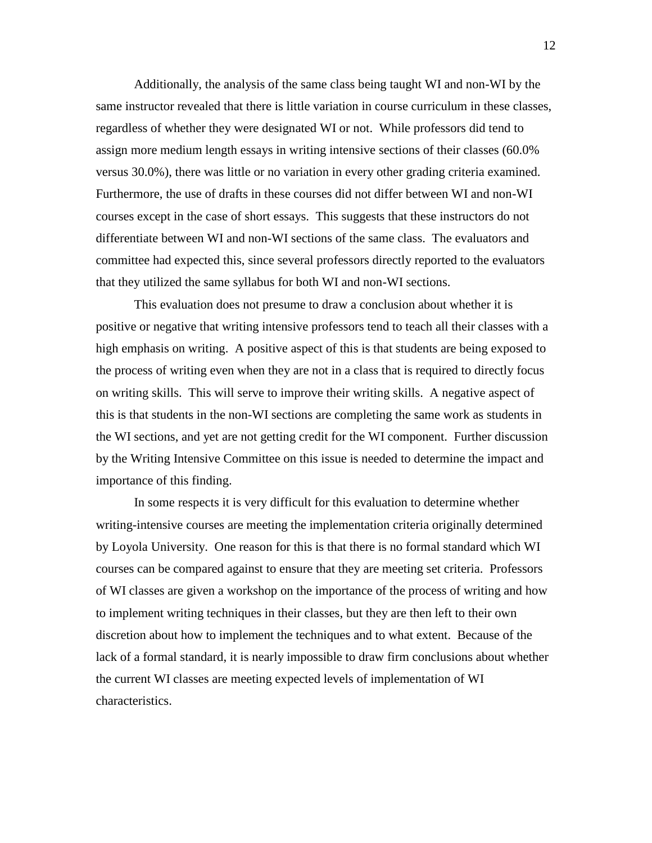Additionally, the analysis of the same class being taught WI and non-WI by the same instructor revealed that there is little variation in course curriculum in these classes, regardless of whether they were designated WI or not. While professors did tend to assign more medium length essays in writing intensive sections of their classes (60.0% versus 30.0%), there was little or no variation in every other grading criteria examined. Furthermore, the use of drafts in these courses did not differ between WI and non-WI courses except in the case of short essays. This suggests that these instructors do not differentiate between WI and non-WI sections of the same class. The evaluators and committee had expected this, since several professors directly reported to the evaluators that they utilized the same syllabus for both WI and non-WI sections.

This evaluation does not presume to draw a conclusion about whether it is positive or negative that writing intensive professors tend to teach all their classes with a high emphasis on writing. A positive aspect of this is that students are being exposed to the process of writing even when they are not in a class that is required to directly focus on writing skills. This will serve to improve their writing skills. A negative aspect of this is that students in the non-WI sections are completing the same work as students in the WI sections, and yet are not getting credit for the WI component. Further discussion by the Writing Intensive Committee on this issue is needed to determine the impact and importance of this finding.

In some respects it is very difficult for this evaluation to determine whether writing-intensive courses are meeting the implementation criteria originally determined by Loyola University. One reason for this is that there is no formal standard which WI courses can be compared against to ensure that they are meeting set criteria. Professors of WI classes are given a workshop on the importance of the process of writing and how to implement writing techniques in their classes, but they are then left to their own discretion about how to implement the techniques and to what extent. Because of the lack of a formal standard, it is nearly impossible to draw firm conclusions about whether the current WI classes are meeting expected levels of implementation of WI characteristics.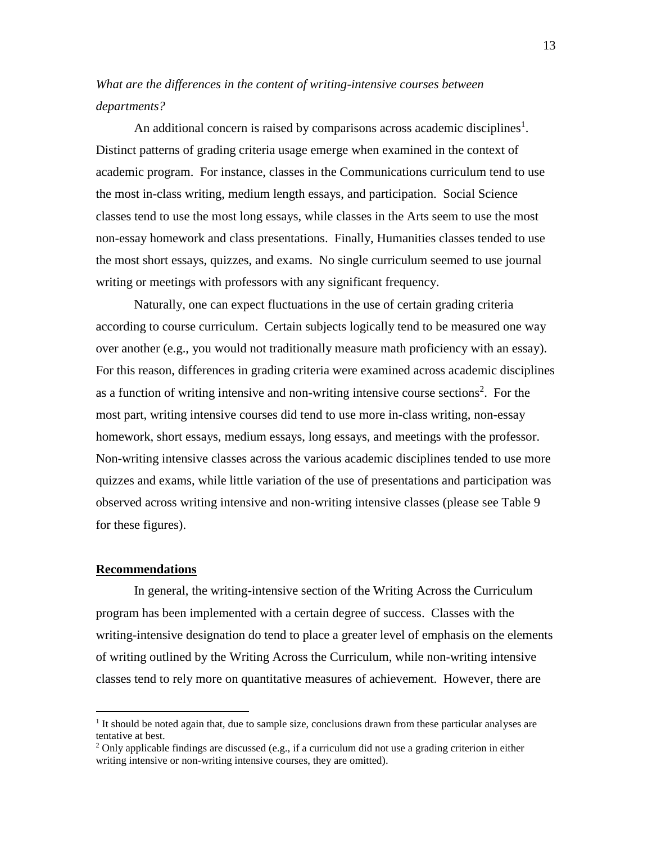*What are the differences in the content of writing-intensive courses between departments?*

An additional concern is raised by comparisons across academic disciplines<sup>1</sup>. Distinct patterns of grading criteria usage emerge when examined in the context of academic program. For instance, classes in the Communications curriculum tend to use the most in-class writing, medium length essays, and participation. Social Science classes tend to use the most long essays, while classes in the Arts seem to use the most non-essay homework and class presentations. Finally, Humanities classes tended to use the most short essays, quizzes, and exams. No single curriculum seemed to use journal writing or meetings with professors with any significant frequency.

Naturally, one can expect fluctuations in the use of certain grading criteria according to course curriculum. Certain subjects logically tend to be measured one way over another (e.g., you would not traditionally measure math proficiency with an essay). For this reason, differences in grading criteria were examined across academic disciplines as a function of writing intensive and non-writing intensive course sections<sup>2</sup>. For the most part, writing intensive courses did tend to use more in-class writing, non-essay homework, short essays, medium essays, long essays, and meetings with the professor. Non-writing intensive classes across the various academic disciplines tended to use more quizzes and exams, while little variation of the use of presentations and participation was observed across writing intensive and non-writing intensive classes (please see Table 9 for these figures).

#### **Recommendations**

 $\overline{a}$ 

In general, the writing-intensive section of the Writing Across the Curriculum program has been implemented with a certain degree of success. Classes with the writing-intensive designation do tend to place a greater level of emphasis on the elements of writing outlined by the Writing Across the Curriculum, while non-writing intensive classes tend to rely more on quantitative measures of achievement. However, there are

<sup>&</sup>lt;sup>1</sup> It should be noted again that, due to sample size, conclusions drawn from these particular analyses are tentative at best.

<sup>&</sup>lt;sup>2</sup> Only applicable findings are discussed (e.g., if a curriculum did not use a grading criterion in either writing intensive or non-writing intensive courses, they are omitted).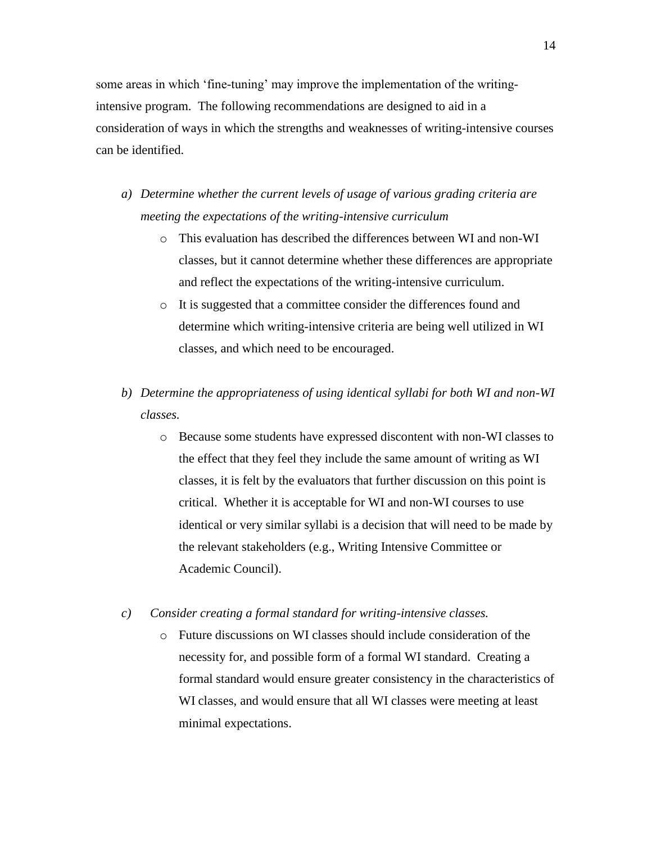some areas in which 'fine-tuning' may improve the implementation of the writingintensive program. The following recommendations are designed to aid in a consideration of ways in which the strengths and weaknesses of writing-intensive courses can be identified.

- *a) Determine whether the current levels of usage of various grading criteria are meeting the expectations of the writing-intensive curriculum*
	- o This evaluation has described the differences between WI and non-WI classes, but it cannot determine whether these differences are appropriate and reflect the expectations of the writing-intensive curriculum.
	- o It is suggested that a committee consider the differences found and determine which writing-intensive criteria are being well utilized in WI classes, and which need to be encouraged.
- *b) Determine the appropriateness of using identical syllabi for both WI and non-WI classes.*
	- o Because some students have expressed discontent with non-WI classes to the effect that they feel they include the same amount of writing as WI classes, it is felt by the evaluators that further discussion on this point is critical. Whether it is acceptable for WI and non-WI courses to use identical or very similar syllabi is a decision that will need to be made by the relevant stakeholders (e.g., Writing Intensive Committee or Academic Council).
- *c) Consider creating a formal standard for writing-intensive classes.*
	- o Future discussions on WI classes should include consideration of the necessity for, and possible form of a formal WI standard. Creating a formal standard would ensure greater consistency in the characteristics of WI classes, and would ensure that all WI classes were meeting at least minimal expectations.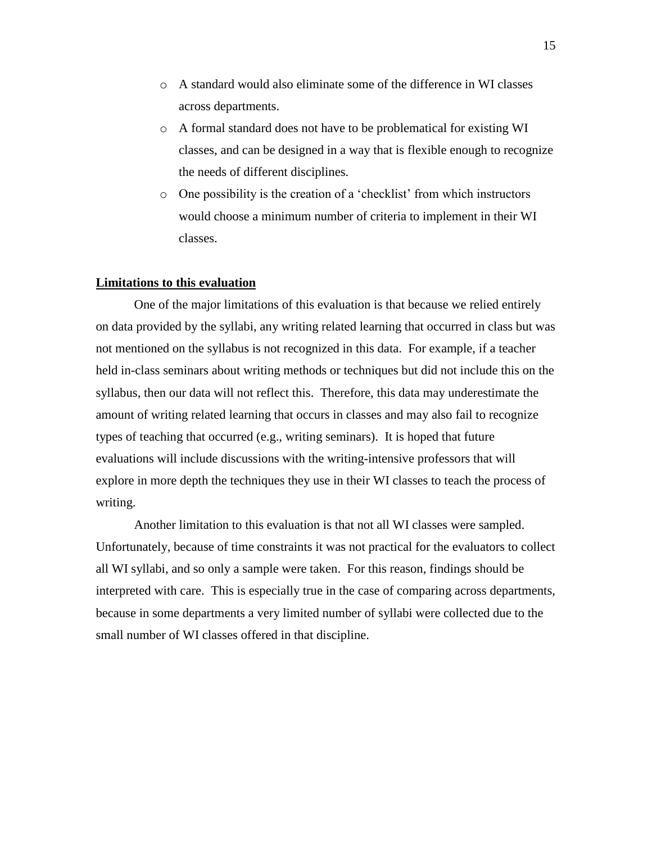- o A standard would also eliminate some of the difference in WI classes across departments.
- o A formal standard does not have to be problematical for existing WI classes, and can be designed in a way that is flexible enough to recognize the needs of different disciplines.
- o One possibility is the creation of a 'checklist' from which instructors would choose a minimum number of criteria to implement in their WI classes.

#### **Limitations to this evaluation**

One of the major limitations of this evaluation is that because we relied entirely on data provided by the syllabi, any writing related learning that occurred in class but was not mentioned on the syllabus is not recognized in this data. For example, if a teacher held in-class seminars about writing methods or techniques but did not include this on the syllabus, then our data will not reflect this. Therefore, this data may underestimate the amount of writing related learning that occurs in classes and may also fail to recognize types of teaching that occurred (e.g., writing seminars). It is hoped that future evaluations will include discussions with the writing-intensive professors that will explore in more depth the techniques they use in their WI classes to teach the process of writing.

Another limitation to this evaluation is that not all WI classes were sampled. Unfortunately, because of time constraints it was not practical for the evaluators to collect all WI syllabi, and so only a sample were taken. For this reason, findings should be interpreted with care. This is especially true in the case of comparing across departments, because in some departments a very limited number of syllabi were collected due to the small number of WI classes offered in that discipline.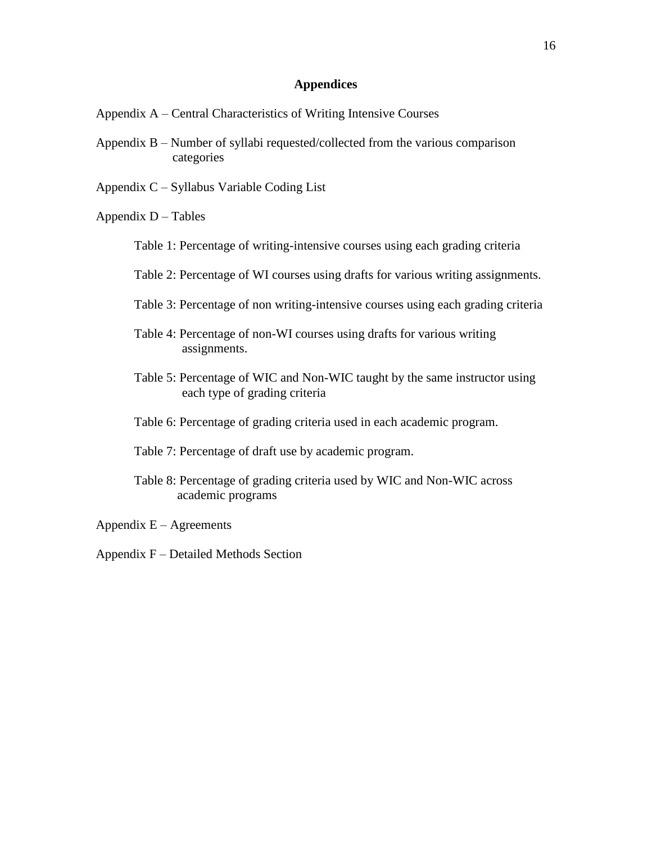### **Appendices**

- Appendix A Central Characteristics of Writing Intensive Courses
- Appendix B Number of syllabi requested/collected from the various comparison categories
- Appendix C Syllabus Variable Coding List

Appendix  $D - Tables$ 

- Table 1: Percentage of writing-intensive courses using each grading criteria
- Table 2: Percentage of WI courses using drafts for various writing assignments.
- Table 3: Percentage of non writing-intensive courses using each grading criteria
- Table 4: Percentage of non-WI courses using drafts for various writing assignments.
- Table 5: Percentage of WIC and Non-WIC taught by the same instructor using each type of grading criteria
- Table 6: Percentage of grading criteria used in each academic program.
- Table 7: Percentage of draft use by academic program.
- Table 8: Percentage of grading criteria used by WIC and Non-WIC across academic programs

Appendix  $E -$  Agreements

Appendix F – Detailed Methods Section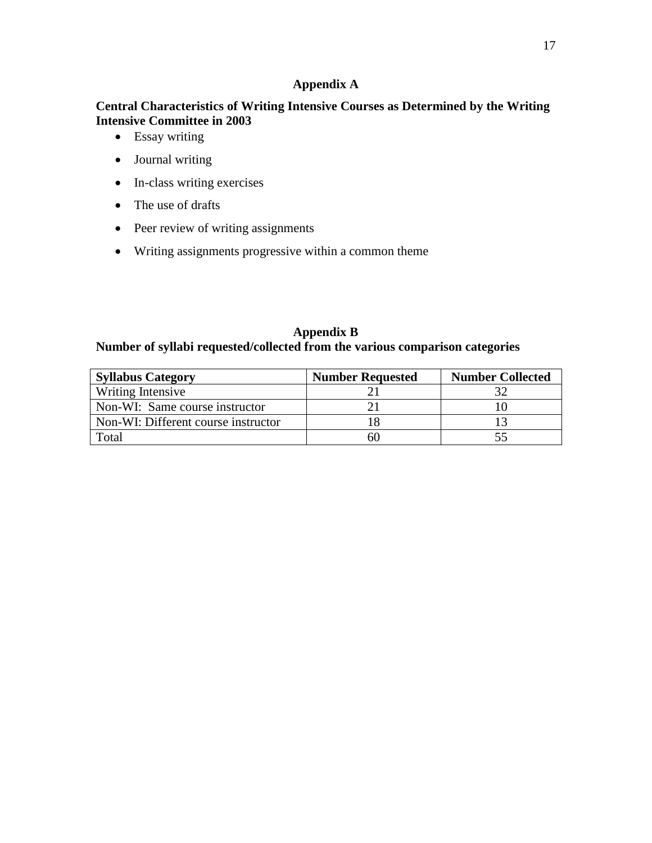### **Appendix A**

## **Central Characteristics of Writing Intensive Courses as Determined by the Writing Intensive Committee in 2003**

- Essay writing
- Journal writing
- In-class writing exercises
- The use of drafts
- Peer review of writing assignments
- Writing assignments progressive within a common theme

### **Appendix B**

## **Number of syllabi requested/collected from the various comparison categories**

| <b>Syllabus Category</b>            | <b>Number Requested</b> | <b>Number Collected</b> |
|-------------------------------------|-------------------------|-------------------------|
| Writing Intensive                   |                         |                         |
| Non-WI: Same course instructor      |                         |                         |
| Non-WI: Different course instructor |                         |                         |
| Total                               | 61                      |                         |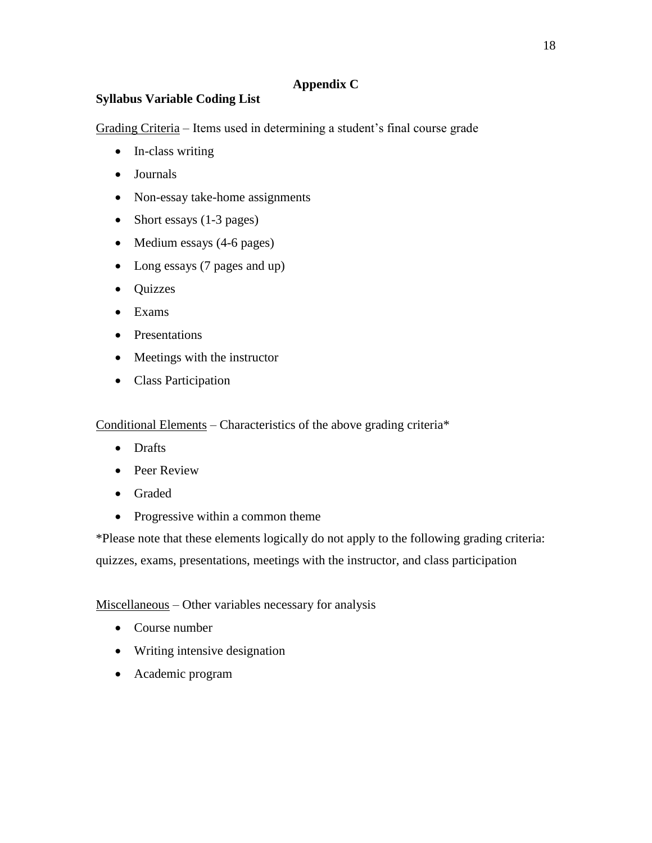## **Appendix C**

# **Syllabus Variable Coding List**

Grading Criteria – Items used in determining a student's final course grade

- In-class writing
- Journals
- Non-essay take-home assignments
- Short essays (1-3 pages)
- Medium essays (4-6 pages)
- Long essays (7 pages and up)
- Quizzes
- Exams
- Presentations
- Meetings with the instructor
- Class Participation

Conditional Elements – Characteristics of the above grading criteria\*

- Drafts
- Peer Review
- Graded
- Progressive within a common theme

\*Please note that these elements logically do not apply to the following grading criteria: quizzes, exams, presentations, meetings with the instructor, and class participation

## Miscellaneous – Other variables necessary for analysis

- Course number
- Writing intensive designation
- Academic program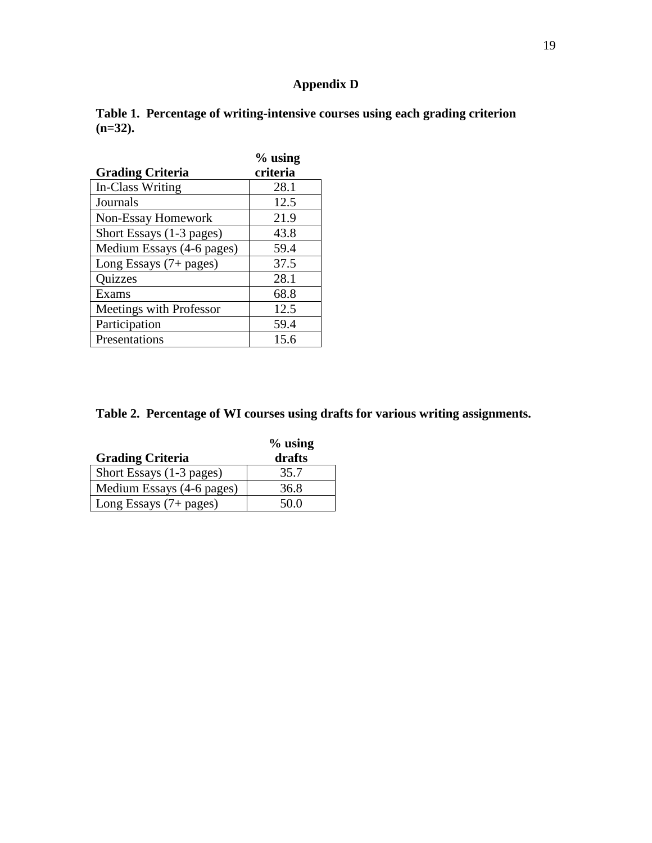# **Appendix D**

|            | Table 1. Percentage of writing-intensive courses using each grading criterion |  |
|------------|-------------------------------------------------------------------------------|--|
| $(n=32)$ . |                                                                               |  |

|                           | $%$ using |
|---------------------------|-----------|
| <b>Grading Criteria</b>   | criteria  |
| In-Class Writing          | 28.1      |
| Journals                  | 12.5      |
| Non-Essay Homework        | 21.9      |
| Short Essays (1-3 pages)  | 43.8      |
| Medium Essays (4-6 pages) | 59.4      |
| Long Essays (7+ pages)    | 37.5      |
| Quizzes                   | 28.1      |
| Exams                     | 68.8      |
| Meetings with Professor   | 12.5      |
| Participation             | 59.4      |
| Presentations             | 15.6      |

# **Table 2. Percentage of WI courses using drafts for various writing assignments.**

|                           | $%$ using |
|---------------------------|-----------|
| <b>Grading Criteria</b>   | drafts    |
| Short Essays (1-3 pages)  | 35.7      |
| Medium Essays (4-6 pages) | 36.8      |
| Long Essays $(7 + pages)$ | 50 O      |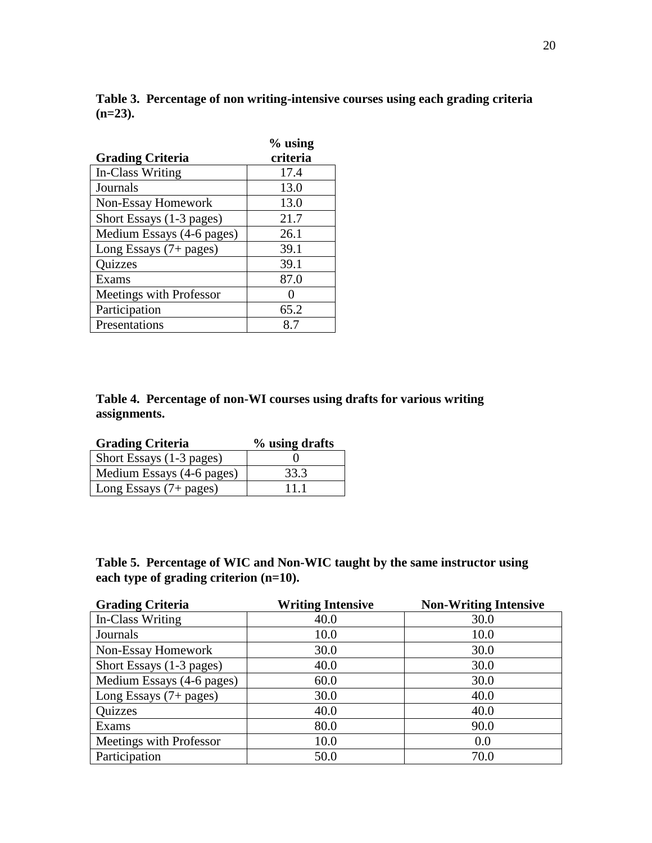|            | Table 3. Percentage of non writing-intensive courses using each grading criteria |
|------------|----------------------------------------------------------------------------------|
| $(n=23)$ . |                                                                                  |

|                           | $%$ using |
|---------------------------|-----------|
| <b>Grading Criteria</b>   | criteria  |
| In-Class Writing          | 17.4      |
| Journals                  | 13.0      |
| Non-Essay Homework        | 13.0      |
| Short Essays (1-3 pages)  | 21.7      |
| Medium Essays (4-6 pages) | 26.1      |
| Long Essays (7+ pages)    | 39.1      |
| Quizzes                   | 39.1      |
| Exams                     | 87.0      |
| Meetings with Professor   |           |
| Participation             | 65.2      |
| Presentations             | 8.7       |

# **Table 4. Percentage of non-WI courses using drafts for various writing assignments.**

| <b>Grading Criteria</b>   | % using drafts |
|---------------------------|----------------|
| Short Essays (1-3 pages)  |                |
| Medium Essays (4-6 pages) | 33.3           |
| Long Essays $(7 + pages)$ | 11 1           |

# **Table 5. Percentage of WIC and Non-WIC taught by the same instructor using each type of grading criterion (n=10).**

| <b>Grading Criteria</b>   | <b>Writing Intensive</b> | <b>Non-Writing Intensive</b> |
|---------------------------|--------------------------|------------------------------|
| In-Class Writing          | 40.0                     | 30.0                         |
| Journals                  | 10.0                     | 10.0                         |
| Non-Essay Homework        | 30.0                     | 30.0                         |
| Short Essays (1-3 pages)  | 40.0                     | 30.0                         |
| Medium Essays (4-6 pages) | 60.0                     | 30.0                         |
| Long Essays $(7 + pages)$ | 30.0                     | 40.0                         |
| Quizzes                   | 40.0                     | 40.0                         |
| Exams                     | 80.0                     | 90.0                         |
| Meetings with Professor   | 10.0                     | 0.0                          |
| Participation             | 50.0                     | 70.0                         |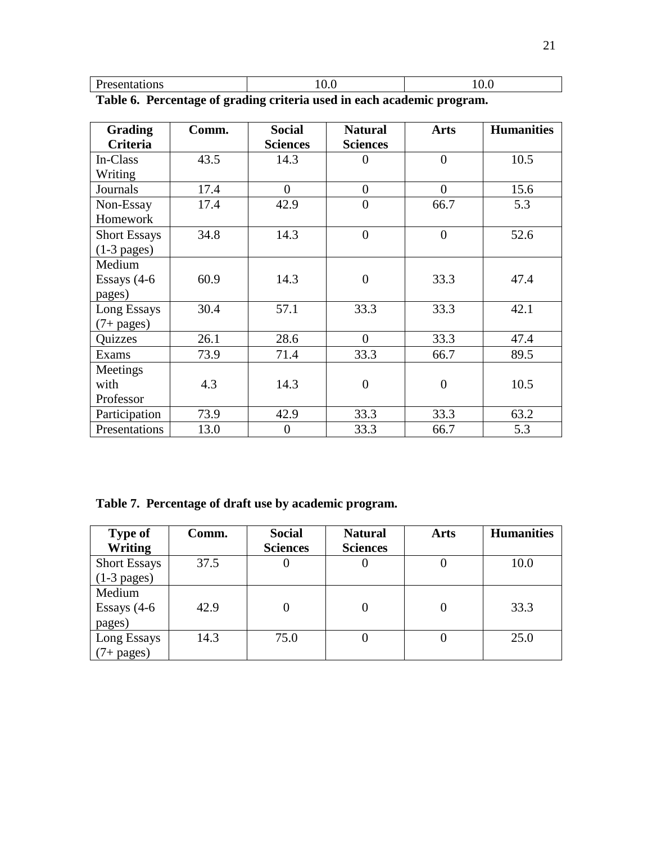| $\mathbf{r}$                                                                     |  |  |
|----------------------------------------------------------------------------------|--|--|
| <br>лонэ<br>1 v.v<br>$\cdot$ $\cdot$ $\cdot$<br><b>ADALLANT ATTO</b><br>-<br>___ |  |  |

| <b>Grading</b>      | Comm. | <b>Social</b><br><b>Natural</b> |                  | <b>Arts</b>    | <b>Humanities</b> |  |
|---------------------|-------|---------------------------------|------------------|----------------|-------------------|--|
| Criteria            |       | <b>Sciences</b>                 | <b>Sciences</b>  |                |                   |  |
| In-Class            | 43.5  | 14.3                            | $\theta$         | $\overline{0}$ | 10.5              |  |
| Writing             |       |                                 |                  |                |                   |  |
| Journals            | 17.4  | $\overline{0}$                  | $\overline{0}$   | $\overline{0}$ | 15.6              |  |
| Non-Essay           | 17.4  | 42.9                            | $\boldsymbol{0}$ | 66.7           | 5.3               |  |
| Homework            |       |                                 |                  |                |                   |  |
| <b>Short Essays</b> | 34.8  | 14.3                            | $\theta$         | $\overline{0}$ | 52.6              |  |
| $(1-3$ pages)       |       |                                 |                  |                |                   |  |
| Medium              |       |                                 |                  |                |                   |  |
| Essays $(4-6)$      | 60.9  | 14.3                            | $\overline{0}$   | 33.3           | 47.4              |  |
| pages)              |       |                                 |                  |                |                   |  |
| Long Essays         | 30.4  | 57.1                            | 33.3             | 33.3           | 42.1              |  |
| $(7 + pages)$       |       |                                 |                  |                |                   |  |
| Quizzes             | 26.1  | 28.6                            | $\overline{0}$   | 33.3           | 47.4              |  |
| Exams               | 73.9  | 71.4                            | 33.3             | 66.7           | 89.5              |  |
| Meetings            |       |                                 |                  |                |                   |  |
| with                | 4.3   | 14.3                            | $\overline{0}$   | $\overline{0}$ | 10.5              |  |
| Professor           |       |                                 |                  |                |                   |  |
| Participation       | 73.9  | 42.9                            | 33.3             | 33.3           | 63.2              |  |
| Presentations       | 13.0  | $\boldsymbol{0}$                | 33.3             | 66.7           | 5.3               |  |

**Table 6. Percentage of grading criteria used in each academic program.**

**Table 7. Percentage of draft use by academic program.**

| <b>Type of</b><br><b>Writing</b>     | Comm. | <b>Social</b><br><b>Sciences</b> | <b>Natural</b><br><b>Sciences</b> | <b>Arts</b> | <b>Humanities</b> |
|--------------------------------------|-------|----------------------------------|-----------------------------------|-------------|-------------------|
| <b>Short Essays</b><br>$(1-3$ pages) | 37.5  | U                                |                                   |             | 10.0              |
| Medium<br>Essays $(4-6)$<br>pages)   | 42.9  | 0                                |                                   |             | 33.3              |
| Long Essays<br>$(7 + \text{pages})$  | 14.3  | 75.0                             |                                   |             | 25.0              |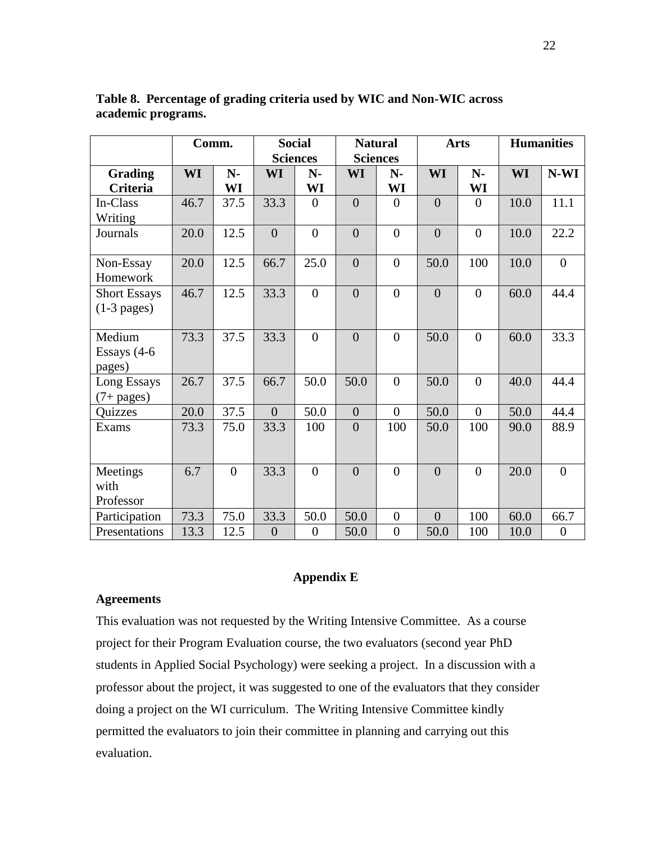|                     |           | Comm.          |                | <b>Social</b>    |                  | <b>Natural</b>   |                | <b>Arts</b>    |           | <b>Humanities</b> |
|---------------------|-----------|----------------|----------------|------------------|------------------|------------------|----------------|----------------|-----------|-------------------|
|                     |           |                |                | <b>Sciences</b>  |                  | <b>Sciences</b>  |                |                |           |                   |
| <b>Grading</b>      | <b>WI</b> | $N-$           | WI             | $N-$             | WI               | $N-$             | <b>WI</b>      | $N-$           | <b>WI</b> | $N-WI$            |
| <b>Criteria</b>     |           | WI             |                | WI               |                  | WI               |                | WI             |           |                   |
| In-Class            | 46.7      | 37.5           | 33.3           | $\overline{0}$   | $\overline{0}$   | $\overline{0}$   | $\overline{0}$ | $\Omega$       | 10.0      | 11.1              |
| Writing             |           |                |                |                  |                  |                  |                |                |           |                   |
| Journals            | 20.0      | 12.5           | $\overline{0}$ | $\overline{0}$   | $\overline{0}$   | $\overline{0}$   | $\overline{0}$ | $\theta$       | 10.0      | 22.2              |
| Non-Essay           | 20.0      | 12.5           | 66.7           | 25.0             | $\overline{0}$   | $\overline{0}$   | 50.0           | 100            | 10.0      | $\overline{0}$    |
| Homework            |           |                |                |                  |                  |                  |                |                |           |                   |
| <b>Short Essays</b> | 46.7      | 12.5           | 33.3           | $\overline{0}$   | $\overline{0}$   | $\overline{0}$   | $\overline{0}$ | $\overline{0}$ | 60.0      | 44.4              |
| $(1-3$ pages)       |           |                |                |                  |                  |                  |                |                |           |                   |
| Medium              | 73.3      | 37.5           | 33.3           | $\overline{0}$   | $\overline{0}$   | $\overline{0}$   | 50.0           | $\theta$       | 60.0      | 33.3              |
| Essays $(4-6)$      |           |                |                |                  |                  |                  |                |                |           |                   |
| pages)              |           |                |                |                  |                  |                  |                |                |           |                   |
| Long Essays         | 26.7      | 37.5           | 66.7           | 50.0             | 50.0             | $\overline{0}$   | 50.0           | $\overline{0}$ | 40.0      | 44.4              |
| $(7 + pages)$       |           |                |                |                  |                  |                  |                |                |           |                   |
| Quizzes             | 20.0      | 37.5           | $\overline{0}$ | 50.0             | $\boldsymbol{0}$ | $\overline{0}$   | 50.0           | $\theta$       | 50.0      | 44.4              |
| Exams               | 73.3      | 75.0           | 33.3           | 100              | $\overline{0}$   | 100              | 50.0           | 100            | 90.0      | 88.9              |
|                     |           |                |                |                  |                  |                  |                |                |           |                   |
| Meetings            | 6.7       | $\overline{0}$ | 33.3           | $\overline{0}$   | $\overline{0}$   | $\overline{0}$   | $\theta$       | $\theta$       | 20.0      | $\overline{0}$    |
| with                |           |                |                |                  |                  |                  |                |                |           |                   |
| Professor           |           |                |                |                  |                  |                  |                |                |           |                   |
| Participation       | 73.3      | 75.0           | 33.3           | 50.0             | 50.0             | $\overline{0}$   | $\overline{0}$ | 100            | 60.0      | 66.7              |
| Presentations       | 13.3      | 12.5           | $\overline{0}$ | $\boldsymbol{0}$ | 50.0             | $\boldsymbol{0}$ | 50.0           | 100            | 10.0      | $\boldsymbol{0}$  |

**Table 8. Percentage of grading criteria used by WIC and Non-WIC across academic programs.**

### **Appendix E**

### **Agreements**

This evaluation was not requested by the Writing Intensive Committee. As a course project for their Program Evaluation course, the two evaluators (second year PhD students in Applied Social Psychology) were seeking a project. In a discussion with a professor about the project, it was suggested to one of the evaluators that they consider doing a project on the WI curriculum. The Writing Intensive Committee kindly permitted the evaluators to join their committee in planning and carrying out this evaluation.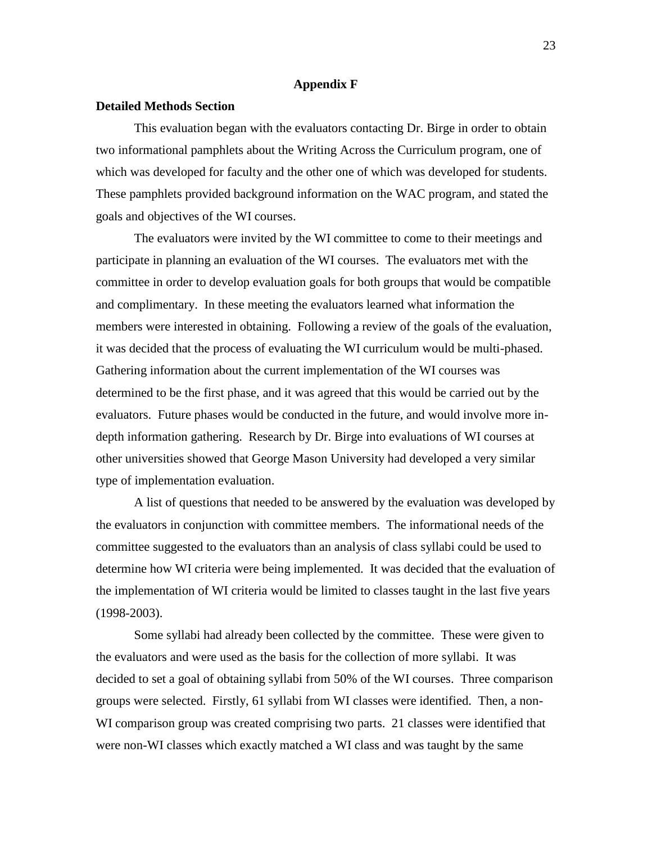#### **Appendix F**

#### **Detailed Methods Section**

This evaluation began with the evaluators contacting Dr. Birge in order to obtain two informational pamphlets about the Writing Across the Curriculum program, one of which was developed for faculty and the other one of which was developed for students. These pamphlets provided background information on the WAC program, and stated the goals and objectives of the WI courses.

The evaluators were invited by the WI committee to come to their meetings and participate in planning an evaluation of the WI courses. The evaluators met with the committee in order to develop evaluation goals for both groups that would be compatible and complimentary. In these meeting the evaluators learned what information the members were interested in obtaining. Following a review of the goals of the evaluation, it was decided that the process of evaluating the WI curriculum would be multi-phased. Gathering information about the current implementation of the WI courses was determined to be the first phase, and it was agreed that this would be carried out by the evaluators. Future phases would be conducted in the future, and would involve more indepth information gathering. Research by Dr. Birge into evaluations of WI courses at other universities showed that George Mason University had developed a very similar type of implementation evaluation.

A list of questions that needed to be answered by the evaluation was developed by the evaluators in conjunction with committee members. The informational needs of the committee suggested to the evaluators than an analysis of class syllabi could be used to determine how WI criteria were being implemented. It was decided that the evaluation of the implementation of WI criteria would be limited to classes taught in the last five years (1998-2003).

Some syllabi had already been collected by the committee. These were given to the evaluators and were used as the basis for the collection of more syllabi. It was decided to set a goal of obtaining syllabi from 50% of the WI courses. Three comparison groups were selected. Firstly, 61 syllabi from WI classes were identified. Then, a non-WI comparison group was created comprising two parts. 21 classes were identified that were non-WI classes which exactly matched a WI class and was taught by the same